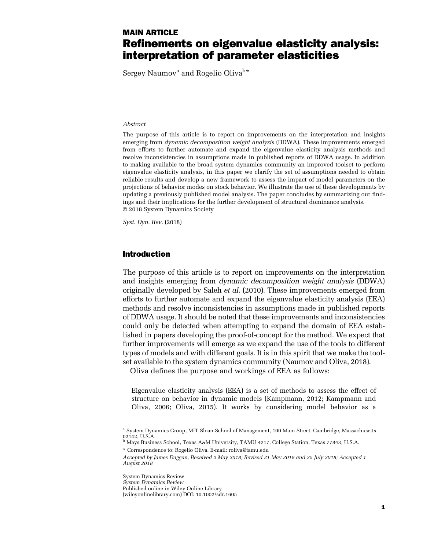# MAIN ARTICLE Refinements on eigenvalue elasticity analysis: interpretation of parameter elasticities

Sergey Naumov<sup>a</sup> and Rogelio Oliva<sup>b\*</sup>

#### Abstract

The purpose of this article is to report on improvements on the interpretation and insights emerging from dynamic decomposition weight analysis (DDWA). These improvements emerged from efforts to further automate and expand the eigenvalue elasticity analysis methods and resolve inconsistencies in assumptions made in published reports of DDWA usage. In addition to making available to the broad system dynamics community an improved toolset to perform eigenvalue elasticity analysis, in this paper we clarify the set of assumptions needed to obtain reliable results and develop a new framework to assess the impact of model parameters on the projections of behavior modes on stock behavior. We illustrate the use of these developments by updating a previously published model analysis. The paper concludes by summarizing our findings and their implications for the further development of structural dominance analysis. © 2018 System Dynamics Society

Syst. Dyn. Rev. (2018)

## Introduction

The purpose of this article is to report on improvements on the interpretation and insights emerging from dynamic decomposition weight analysis (DDWA) originally developed by Saleh *et al.* (2010). These improvements emerged from efforts to further automate and expand the eigenvalue elasticity analysis (EEA) methods and resolve inconsistencies in assumptions made in published reports of DDWA usage. It should be noted that these improvements and inconsistencies could only be detected when attempting to expand the domain of EEA established in papers developing the proof-of-concept for the method. We expect that further improvements will emerge as we expand the use of the tools to different types of models and with different goals. It is in this spirit that we make the toolset available to the system dynamics community (Naumov and Oliva, 2018).

Oliva defines the purpose and workings of EEA as follows:

Eigenvalue elasticity analysis (EEA) is a set of methods to assess the effect of structure on behavior in dynamic models (Kampmann, 2012; Kampmann and Oliva, 2006; Oliva, 2015). It works by considering model behavior as a

System Dynamics Review System Dynamics Review Published online in Wiley Online Library (wileyonlinelibrary.com) DOI: 10.1002/sdr.1605

<sup>a</sup> System Dynamics Group, MIT Sloan School of Management, 100 Main Street, Cambridge, Massachusetts 02142, U.S.A.<br><sup>b</sup> Mays Business School, Texas A&M University, TAMU 4217, College Station, Texas 77843, U.S.A.

<sup>\*</sup> Correspondence to: Rogelio Oliva. E-mail: [roliva@tamu.edu](mailto:roliva@tamu.edu)

Accepted by James Duggan, Received 2 May 2018; Revised 21 May 2018 and 25 July 2018; Accepted 1 August 2018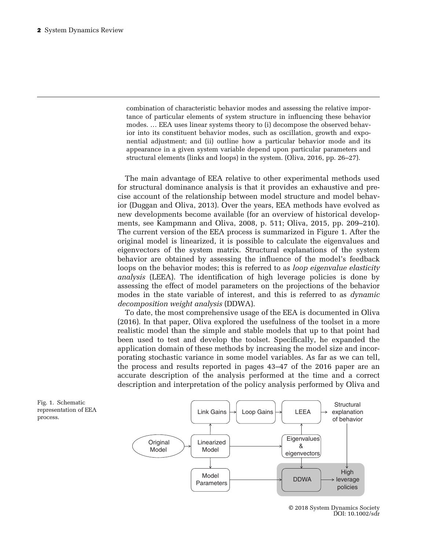combination of characteristic behavior modes and assessing the relative importance of particular elements of system structure in influencing these behavior modes. … EEA uses linear systems theory to (i) decompose the observed behavior into its constituent behavior modes, such as oscillation, growth and exponential adjustment; and (ii) outline how a particular behavior mode and its appearance in a given system variable depend upon particular parameters and structural elements (links and loops) in the system. (Oliva, 2016, pp. 26–27).

The main advantage of EEA relative to other experimental methods used for structural dominance analysis is that it provides an exhaustive and precise account of the relationship between model structure and model behavior (Duggan and Oliva, 2013). Over the years, EEA methods have evolved as new developments become available (for an overview of historical developments, see Kampmann and Oliva, 2008, p. 511; Oliva, 2015, pp. 209–210). The current version of the EEA process is summarized in Figure 1. After the original model is linearized, it is possible to calculate the eigenvalues and eigenvectors of the system matrix. Structural explanations of the system behavior are obtained by assessing the influence of the model's feedback loops on the behavior modes; this is referred to as loop eigenvalue elasticity analysis (LEEA). The identification of high leverage policies is done by assessing the effect of model parameters on the projections of the behavior modes in the state variable of interest, and this is referred to as dynamic decomposition weight analysis (DDWA).

To date, the most comprehensive usage of the EEA is documented in Oliva (2016). In that paper, Oliva explored the usefulness of the toolset in a more realistic model than the simple and stable models that up to that point had been used to test and develop the toolset. Specifically, he expanded the application domain of these methods by increasing the model size and incorporating stochastic variance in some model variables. As far as we can tell, the process and results reported in pages 43–47 of the 2016 paper are an accurate description of the analysis performed at the time and a correct description and interpretation of the policy analysis performed by Oliva and



Fig. 1. Schematic representation of EEA process.

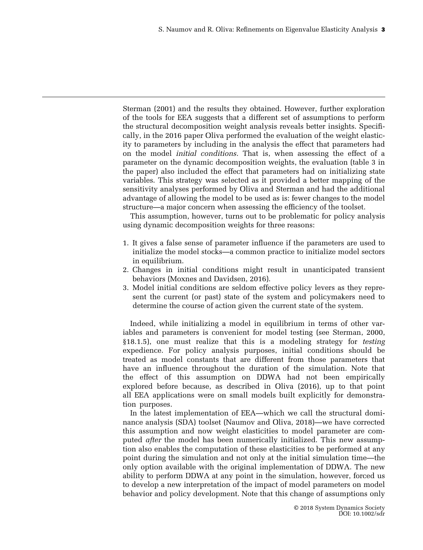Sterman (2001) and the results they obtained. However, further exploration of the tools for EEA suggests that a different set of assumptions to perform the structural decomposition weight analysis reveals better insights. Specifically, in the 2016 paper Oliva performed the evaluation of the weight elasticity to parameters by including in the analysis the effect that parameters had on the model initial conditions. That is, when assessing the effect of a parameter on the dynamic decomposition weights, the evaluation (table 3 in the paper) also included the effect that parameters had on initializing state variables. This strategy was selected as it provided a better mapping of the sensitivity analyses performed by Oliva and Sterman and had the additional advantage of allowing the model to be used as is: fewer changes to the model structure—a major concern when assessing the efficiency of the toolset.

This assumption, however, turns out to be problematic for policy analysis using dynamic decomposition weights for three reasons:

- 1. It gives a false sense of parameter influence if the parameters are used to initialize the model stocks—a common practice to initialize model sectors in equilibrium.
- 2. Changes in initial conditions might result in unanticipated transient behaviors (Moxnes and Davidsen, 2016).
- 3. Model initial conditions are seldom effective policy levers as they represent the current (or past) state of the system and policymakers need to determine the course of action given the current state of the system.

Indeed, while initializing a model in equilibrium in terms of other variables and parameters is convenient for model testing (see Sterman, 2000, §18.1.5), one must realize that this is a modeling strategy for testing expedience. For policy analysis purposes, initial conditions should be treated as model constants that are different from those parameters that have an influence throughout the duration of the simulation. Note that the effect of this assumption on DDWA had not been empirically explored before because, as described in Oliva (2016), up to that point all EEA applications were on small models built explicitly for demonstration purposes.

In the latest implementation of EEA—which we call the structural dominance analysis (SDA) toolset (Naumov and Oliva, 2018)—we have corrected this assumption and now weight elasticities to model parameter are computed *after* the model has been numerically initialized. This new assumption also enables the computation of these elasticities to be performed at any point during the simulation and not only at the initial simulation time—the only option available with the original implementation of DDWA. The new ability to perform DDWA at any point in the simulation, however, forced us to develop a new interpretation of the impact of model parameters on model behavior and policy development. Note that this change of assumptions only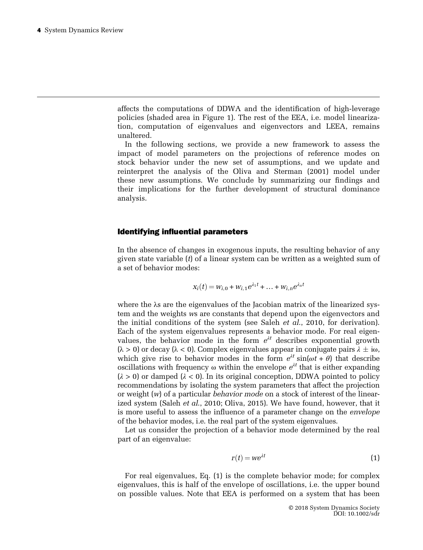affects the computations of DDWA and the identification of high-leverage policies (shaded area in Figure 1). The rest of the EEA, i.e. model linearization, computation of eigenvalues and eigenvectors and LEEA, remains unaltered.

In the following sections, we provide a new framework to assess the impact of model parameters on the projections of reference modes on stock behavior under the new set of assumptions, and we update and reinterpret the analysis of the Oliva and Sterman (2001) model under these new assumptions. We conclude by summarizing our findings and their implications for the further development of structural dominance analysis.

### Identifying influential parameters

In the absence of changes in exogenous inputs, the resulting behavior of any given state variable (t) of a linear system can be written as a weighted sum of a set of behavior modes:

$$
x_i(t) = w_{i,0} + w_{i,1}e^{\lambda_1 t} + \ldots + w_{i,n}e^{\lambda_n t}
$$

where the λs are the eigenvalues of the Jacobian matrix of the linearized system and the weights ws are constants that depend upon the eigenvectors and the initial conditions of the system (see Saleh *et al.*, 2010, for derivation). Each of the system eigenvalues represents a behavior mode. For real eigenvalues, the behavior mode in the form  $e^{\lambda t}$  describes exponential growth  $(λ > 0)$  or decay  $(λ < 0)$ . Complex eigenvalues appear in conjugate pairs  $λ ± iω$ , which give rise to behavior modes in the form  $e^{\lambda t}$  sin( $\omega t + \theta$ ) that describe oscillations with frequency  $\omega$  within the envelope  $e^{\lambda t}$  that is either expanding  $(\lambda > 0)$  or damped  $(\lambda < 0)$ . In its original conception, DDWA pointed to policy recommendations by isolating the system parameters that affect the projection or weight  $(w)$  of a particular *behavior mode* on a stock of interest of the linearized system (Saleh et al., 2010; Oliva, 2015). We have found, however, that it is more useful to assess the influence of a parameter change on the envelope of the behavior modes, i.e. the real part of the system eigenvalues.

Let us consider the projection of a behavior mode determined by the real part of an eigenvalue:

$$
r(t) = we^{\lambda t} \tag{1}
$$

For real eigenvalues, Eq. (1) is the complete behavior mode; for complex eigenvalues, this is half of the envelope of oscillations, i.e. the upper bound on possible values. Note that EEA is performed on a system that has been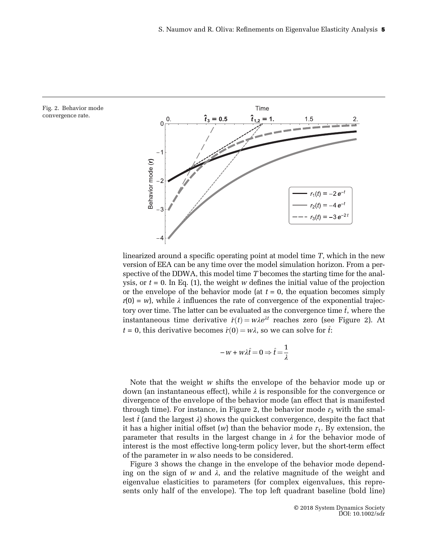

linearized around a specific operating point at model time T, which in the new version of EEA can be any time over the model simulation horizon. From a perspective of the DDWA, this model time T becomes the starting time for the analysis, or  $t = 0$ . In Eq. (1), the weight w defines the initial value of the projection or the envelope of the behavior mode (at  $t = 0$ , the equation becomes simply  $r(0) = w$ , while  $\lambda$  influences the rate of convergence of the exponential trajectory over time. The latter can be evaluated as the convergence time  $\hat{t}$ , where the instantaneous time derivative  $\dot{r}(t) = w\lambda e^{\lambda t}$  reaches zero (see Figure 2). At  $t = 0$ , this derivative becomes  $\dot{r}(0) = w\lambda$ , so we can solve for  $\hat{t}$ :

$$
-w + w\lambda \hat{t} = 0 \Rightarrow \hat{t} = \frac{1}{\lambda}
$$

Note that the weight w shifts the envelope of the behavior mode up or down (an instantaneous effect), while  $\lambda$  is responsible for the convergence or divergence of the envelope of the behavior mode (an effect that is manifested through time). For instance, in Figure 2, the behavior mode  $r_3$  with the smallest  $\hat{t}$  (and the largest  $\lambda$ ) shows the quickest convergence, despite the fact that it has a higher initial offset  $(w)$  than the behavior mode  $r_1$ . By extension, the parameter that results in the largest change in  $\lambda$  for the behavior mode of interest is the most effective long-term policy lever, but the short-term effect of the parameter in w also needs to be considered.

Figure 3 shows the change in the envelope of the behavior mode depending on the sign of w and  $\lambda$ , and the relative magnitude of the weight and eigenvalue elasticities to parameters (for complex eigenvalues, this represents only half of the envelope). The top left quadrant baseline (bold line)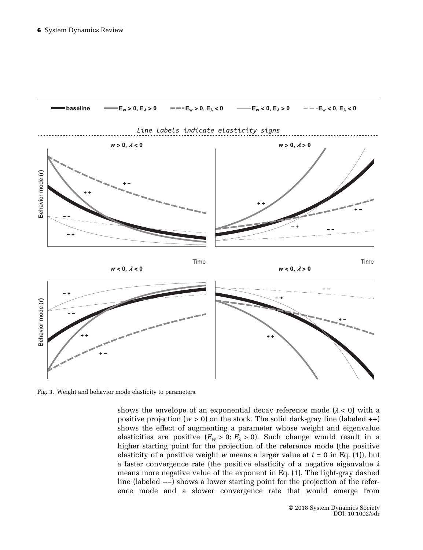

 $-E_w < 0, E_{\lambda} > 0$  $--E_w < 0, E_{\lambda} < 0$  $E_w > 0, E_{\lambda} > 0$  $---E_w > 0, E_{\lambda} < 0$ baseline

Fig. 3. Weight and behavior mode elasticity to parameters.

shows the envelope of an exponential decay reference mode  $(\lambda < 0)$  with a positive projection  $(w > 0)$  on the stock. The solid dark-gray line (labeled  $++$ ) shows the effect of augmenting a parameter whose weight and eigenvalue elasticities are positive  $(E_w > 0; E_{\lambda} > 0)$ . Such change would result in a higher starting point for the projection of the reference mode (the positive elasticity of a positive weight w means a larger value at  $t = 0$  in Eq. (1)), but a faster convergence rate (the positive elasticity of a negative eigenvalue  $\lambda$ means more negative value of the exponent in Eq. (1). The light-gray dashed line (labeled −−) shows a lower starting point for the projection of the reference mode and a slower convergence rate that would emerge from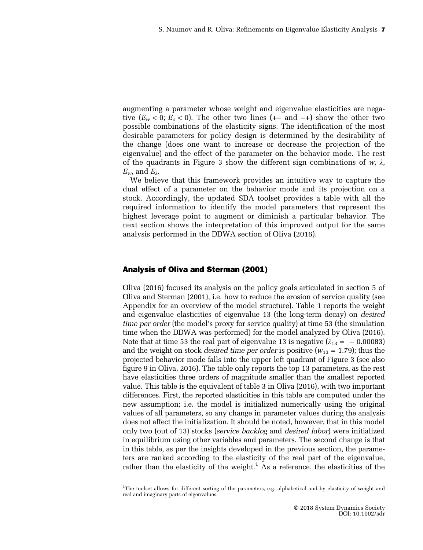augmenting a parameter whose weight and eigenvalue elasticities are negative  $(E_w < 0; E_{\lambda} < 0)$ . The other two lines (+– and -+) show the other two possible combinations of the elasticity signs. The identification of the most desirable parameters for policy design is determined by the desirability of the change (does one want to increase or decrease the projection of the eigenvalue) and the effect of the parameter on the behavior mode. The rest of the quadrants in Figure 3 show the different sign combinations of  $w$ ,  $\lambda$ ,  $E_w$ , and  $E_\lambda$ .

We believe that this framework provides an intuitive way to capture the dual effect of a parameter on the behavior mode and its projection on a stock. Accordingly, the updated SDA toolset provides a table with all the required information to identify the model parameters that represent the highest leverage point to augment or diminish a particular behavior. The next section shows the interpretation of this improved output for the same analysis performed in the DDWA section of Oliva (2016).

#### Analysis of Oliva and Sterman (2001)

Oliva (2016) focused its analysis on the policy goals articulated in section 5 of Oliva and Sterman (2001), i.e. how to reduce the erosion of service quality (see Appendix for an overview of the model structure). Table 1 reports the weight and eigenvalue elasticities of eigenvalue 13 (the long-term decay) on desired time per order (the model's proxy for service quality) at time 53 (the simulation time when the DDWA was performed) for the model analyzed by Oliva (2016). Note that at time 53 the real part of eigenvalue 13 is negative  $(\lambda_{13} = -0.00083)$ and the weight on stock *desired time per order* is positive  $(w_{13} = 1.79)$ ; thus the projected behavior mode falls into the upper left quadrant of Figure 3 (see also figure 9 in Oliva, 2016). The table only reports the top 13 parameters, as the rest have elasticities three orders of magnitude smaller than the smallest reported value. This table is the equivalent of table 3 in Oliva (2016), with two important differences. First, the reported elasticities in this table are computed under the new assumption; i.e. the model is initialized numerically using the original values of all parameters, so any change in parameter values during the analysis does not affect the initialization. It should be noted, however, that in this model only two (out of 13) stocks (service backlog and desired labor) were initialized in equilibrium using other variables and parameters. The second change is that in this table, as per the insights developed in the previous section, the parameters are ranked according to the elasticity of the real part of the eigenvalue, rather than the elasticity of the weight.<sup>1</sup> As a reference, the elasticities of the

<sup>1</sup>The toolset allows for different sorting of the parameters, e.g. alphabetical and by elasticity of weight and real and imaginary parts of eigenvalues.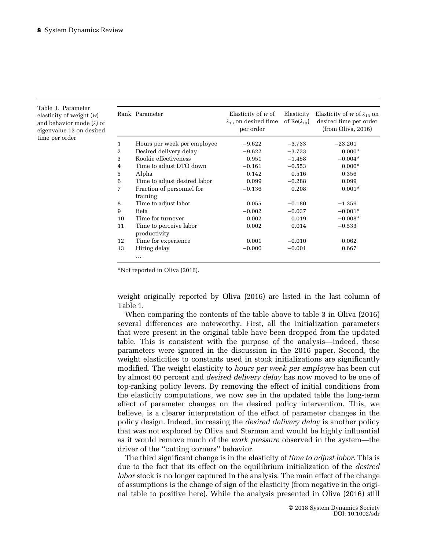Table 1. Parameter elasticity of weight (w) and behavior mode (λ) of eigenvalue 13 on desired time per order

|                | Rank Parameter                         | Elasticity of w of<br>$\lambda_{13}$ on desired time<br>per order | Elasticity<br>of Re $(\lambda_{13})$ | Elasticity of w of $\lambda_{13}$ on<br>desired time per order<br>(from Oliva, 2016) |
|----------------|----------------------------------------|-------------------------------------------------------------------|--------------------------------------|--------------------------------------------------------------------------------------|
| 1              | Hours per week per employee            | $-9.622$                                                          | $-3.733$                             | $-23.261$                                                                            |
| $\overline{2}$ | Desired delivery delay                 | $-9.622$                                                          | $-3.733$                             | $0.000*$                                                                             |
| 3              | Rookie effectiveness                   | 0.951                                                             | $-1.458$                             | $-0.004*$                                                                            |
| 4              | Time to adjust DTO down                | $-0.161$                                                          | $-0.553$                             | $0.000*$                                                                             |
| 5              | Alpha                                  | 0.142                                                             | 0.516                                | 0.356                                                                                |
| 6              | Time to adjust desired labor           | 0.099                                                             | $-0.288$                             | 0.099                                                                                |
| 7              | Fraction of personnel for<br>training  | $-0.136$                                                          | 0.208                                | $0.001*$                                                                             |
| 8              | Time to adjust labor                   | 0.055                                                             | $-0.180$                             | $-1.259$                                                                             |
| 9              | <b>Beta</b>                            | $-0.002$                                                          | $-0.037$                             | $-0.001*$                                                                            |
| 10             | Time for turnover                      | 0.002                                                             | 0.019                                | $-0.008*$                                                                            |
| 11             | Time to perceive labor<br>productivity | 0.002                                                             | 0.014                                | $-0.533$                                                                             |
| 12             | Time for experience                    | 0.001                                                             | $-0.010$                             | 0.062                                                                                |
| 13             | Hiring delay                           | $-0.000$                                                          | $-0.001$                             | 0.667                                                                                |
|                | $\cdots$                               |                                                                   |                                      |                                                                                      |

\*Not reported in Oliva (2016).

weight originally reported by Oliva (2016) are listed in the last column of Table 1.

When comparing the contents of the table above to table 3 in Oliva (2016) several differences are noteworthy. First, all the initialization parameters that were present in the original table have been dropped from the updated table. This is consistent with the purpose of the analysis—indeed, these parameters were ignored in the discussion in the 2016 paper. Second, the weight elasticities to constants used in stock initializations are significantly modified. The weight elasticity to hours per week per employee has been cut by almost 60 percent and desired delivery delay has now moved to be one of top-ranking policy levers. By removing the effect of initial conditions from the elasticity computations, we now see in the updated table the long-term effect of parameter changes on the desired policy intervention. This, we believe, is a clearer interpretation of the effect of parameter changes in the policy design. Indeed, increasing the *desired delivery delay* is another policy that was not explored by Oliva and Sterman and would be highly influential as it would remove much of the work pressure observed in the system—the driver of the "cutting corners" behavior.

The third significant change is in the elasticity of *time to adjust labor*. This is due to the fact that its effect on the equilibrium initialization of the desired labor stock is no longer captured in the analysis. The main effect of the change of assumptions is the change of sign of the elasticity (from negative in the original table to positive here). While the analysis presented in Oliva (2016) still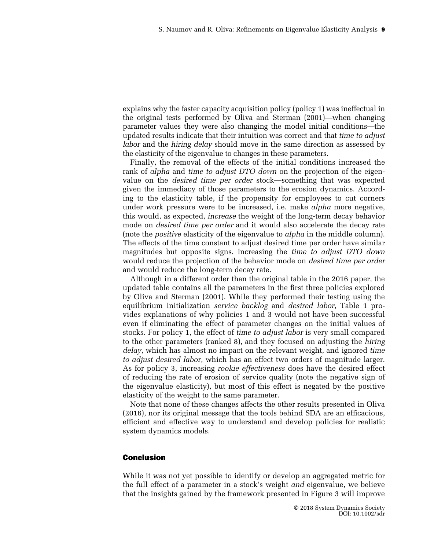explains why the faster capacity acquisition policy (policy 1) was ineffectual in the original tests performed by Oliva and Sterman (2001)—when changing parameter values they were also changing the model initial conditions—the updated results indicate that their intuition was correct and that *time to adjust* labor and the hiring delay should move in the same direction as assessed by the elasticity of the eigenvalue to changes in these parameters.

Finally, the removal of the effects of the initial conditions increased the rank of *alpha* and *time to adjust DTO down* on the projection of the eigenvalue on the desired time per order stock—something that was expected given the immediacy of those parameters to the erosion dynamics. According to the elasticity table, if the propensity for employees to cut corners under work pressure were to be increased, i.e. make *alpha* more negative, this would, as expected, increase the weight of the long-term decay behavior mode on *desired time per order* and it would also accelerate the decay rate (note the positive elasticity of the eigenvalue to alpha in the middle column). The effects of the time constant to adjust desired time per order have similar magnitudes but opposite signs. Increasing the time to adjust DTO down would reduce the projection of the behavior mode on *desired time per order* and would reduce the long-term decay rate.

Although in a different order than the original table in the 2016 paper, the updated table contains all the parameters in the first three policies explored by Oliva and Sterman (2001). While they performed their testing using the equilibrium initialization service backlog and desired labor, Table 1 provides explanations of why policies 1 and 3 would not have been successful even if eliminating the effect of parameter changes on the initial values of stocks. For policy 1, the effect of time to adjust labor is very small compared to the other parameters (ranked 8), and they focused on adjusting the hiring delay, which has almost no impact on the relevant weight, and ignored time to adjust desired labor, which has an effect two orders of magnitude larger. As for policy 3, increasing rookie effectiveness does have the desired effect of reducing the rate of erosion of service quality (note the negative sign of the eigenvalue elasticity), but most of this effect is negated by the positive elasticity of the weight to the same parameter.

Note that none of these changes affects the other results presented in Oliva (2016), nor its original message that the tools behind SDA are an efficacious, efficient and effective way to understand and develop policies for realistic system dynamics models.

## Conclusion

While it was not yet possible to identify or develop an aggregated metric for the full effect of a parameter in a stock's weight and eigenvalue, we believe that the insights gained by the framework presented in Figure 3 will improve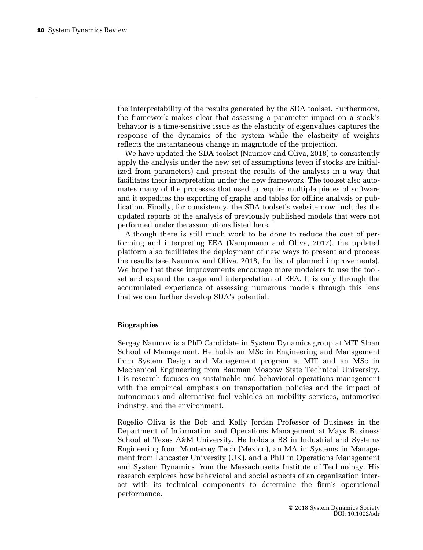the interpretability of the results generated by the SDA toolset. Furthermore, the framework makes clear that assessing a parameter impact on a stock's behavior is a time-sensitive issue as the elasticity of eigenvalues captures the response of the dynamics of the system while the elasticity of weights reflects the instantaneous change in magnitude of the projection.

We have updated the SDA toolset (Naumov and Oliva, 2018) to consistently apply the analysis under the new set of assumptions (even if stocks are initialized from parameters) and present the results of the analysis in a way that facilitates their interpretation under the new framework. The toolset also automates many of the processes that used to require multiple pieces of software and it expedites the exporting of graphs and tables for offline analysis or publication. Finally, for consistency, the SDA toolset's website now includes the updated reports of the analysis of previously published models that were not performed under the assumptions listed here.

Although there is still much work to be done to reduce the cost of performing and interpreting EEA (Kampmann and Oliva, 2017), the updated platform also facilitates the deployment of new ways to present and process the results (see Naumov and Oliva, 2018, for list of planned improvements). We hope that these improvements encourage more modelers to use the toolset and expand the usage and interpretation of EEA. It is only through the accumulated experience of assessing numerous models through this lens that we can further develop SDA's potential.

#### Biographies

Sergey Naumov is a PhD Candidate in System Dynamics group at MIT Sloan School of Management. He holds an MSc in Engineering and Management from System Design and Management program at MIT and an MSc in Mechanical Engineering from Bauman Moscow State Technical University. His research focuses on sustainable and behavioral operations management with the empirical emphasis on transportation policies and the impact of autonomous and alternative fuel vehicles on mobility services, automotive industry, and the environment.

Rogelio Oliva is the Bob and Kelly Jordan Professor of Business in the Department of Information and Operations Management at Mays Business School at Texas A&M University. He holds a BS in Industrial and Systems Engineering from Monterrey Tech (Mexico), an MA in Systems in Management from Lancaster University (UK), and a PhD in Operations Management and System Dynamics from the Massachusetts Institute of Technology. His research explores how behavioral and social aspects of an organization interact with its technical components to determine the firm's operational performance.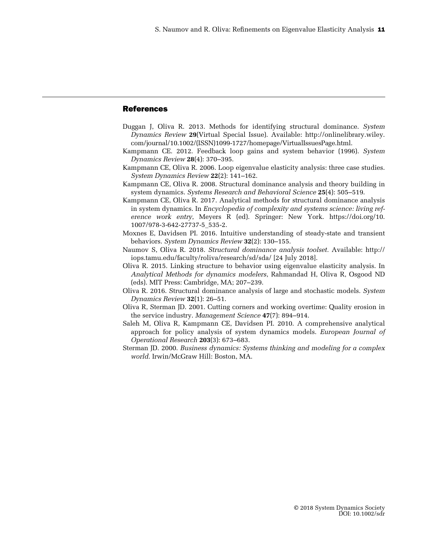## References

- Duggan J, Oliva R. 2013. Methods for identifying structural dominance. System Dynamics Review 29(Virtual Special Issue). Available: [http://onlinelibrary.wiley.](http://onlinelibrary.wiley.com/journal/10.1002/(ISSN)1099-1727/homepage/VirtualIssuesPage.html) [com/journal/10.1002/\(ISSN\)1099-1727/homepage/VirtualIssuesPage.html](http://onlinelibrary.wiley.com/journal/10.1002/(ISSN)1099-1727/homepage/VirtualIssuesPage.html).
- Kampmann CE. 2012. Feedback loop gains and system behavior (1996). System Dynamics Review 28(4): 370–395.
- Kampmann CE, Oliva R. 2006. Loop eigenvalue elasticity analysis: three case studies. System Dynamics Review 22(2): 141–162.
- Kampmann CE, Oliva R. 2008. Structural dominance analysis and theory building in system dynamics. Systems Research and Behavioral Science 25(4): 505–519.
- Kampmann CE, Oliva R. 2017. Analytical methods for structural dominance analysis in system dynamics. In Encyclopedia of complexity and systems science: living reference work entry, Meyers R (ed). Springer: New York. [https://doi.org/10.](https://doi.org/10.1007/978-3-642-27737-5_535-2) [1007/978-3-642-27737-5\\_535-2](https://doi.org/10.1007/978-3-642-27737-5_535-2).
- Moxnes E, Davidsen PI. 2016. Intuitive understanding of steady-state and transient behaviors. System Dynamics Review 32(2): 130-155.
- Naumov S, Oliva R. 2018. Structural dominance analysis toolset. Available: [http://](http://iops.tamu.edu/faculty/roliva/research/sd/sda/) [iops.tamu.edu/faculty/roliva/research/sd/sda/](http://iops.tamu.edu/faculty/roliva/research/sd/sda/) [24 July 2018].
- Oliva R. 2015. Linking structure to behavior using eigenvalue elasticity analysis. In Analytical Methods for dynamics modelers, Rahmandad H, Oliva R, Osgood ND (eds). MIT Press: Cambridge, MA; 207–239.
- Oliva R. 2016. Structural dominance analysis of large and stochastic models. System Dynamics Review 32(1): 26–51.
- Oliva R, Sterman JD. 2001. Cutting corners and working overtime: Quality erosion in the service industry. Management Science 47(7): 894-914.
- Saleh M, Oliva R, Kampmann CE, Davidsen PI. 2010. A comprehensive analytical approach for policy analysis of system dynamics models. European Journal of Operational Research 203(3): 673–683.
- Sterman JD. 2000. Business dynamics: Systems thinking and modeling for a complex world. Irwin/McGraw Hill: Boston, MA.